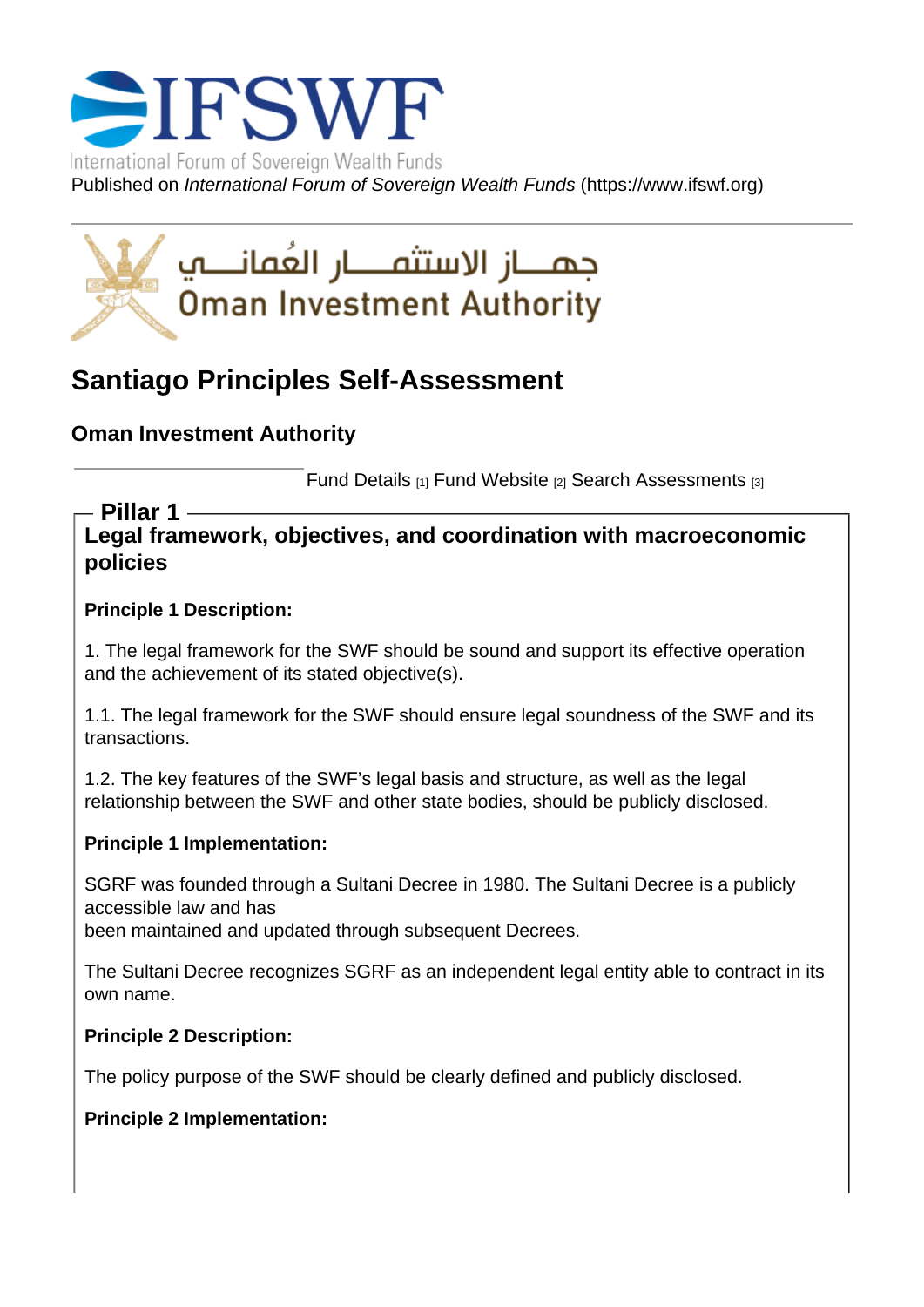# Santiago Principles Self-Assessment

Oman Investment Authority

Fund Details [1] Fund Website [2] Search Assessments [3]

Legal framework, objectives, and coordination with macroeconomic policies Pillar 1

Principle 1 Description:

1. The legal framework for the SWF should be sound and support its effective operation and the achievement of its stated objective(s).

1.1. The legal framework for the SWF should ensure legal soundness of the SWF and its transactions.

1.2. The key features of the SWF's legal basis and structure, as well as the legal relationship between the SWF and other state bodies, should be publicly disclosed.

Principle 1 Implementation:

SGRF was founded through a Sultani Decree in 1980. The Sultani Decree is a publicly accessible law and has been maintained and updated through subsequent Decrees.

The Sultani Decree recognizes SGRF as an independent legal entity able to contract in its own name.

Principle 2 Description:

The policy purpose of the SWF should be clearly defined and publicly disclosed.

Principle 2 Implementation: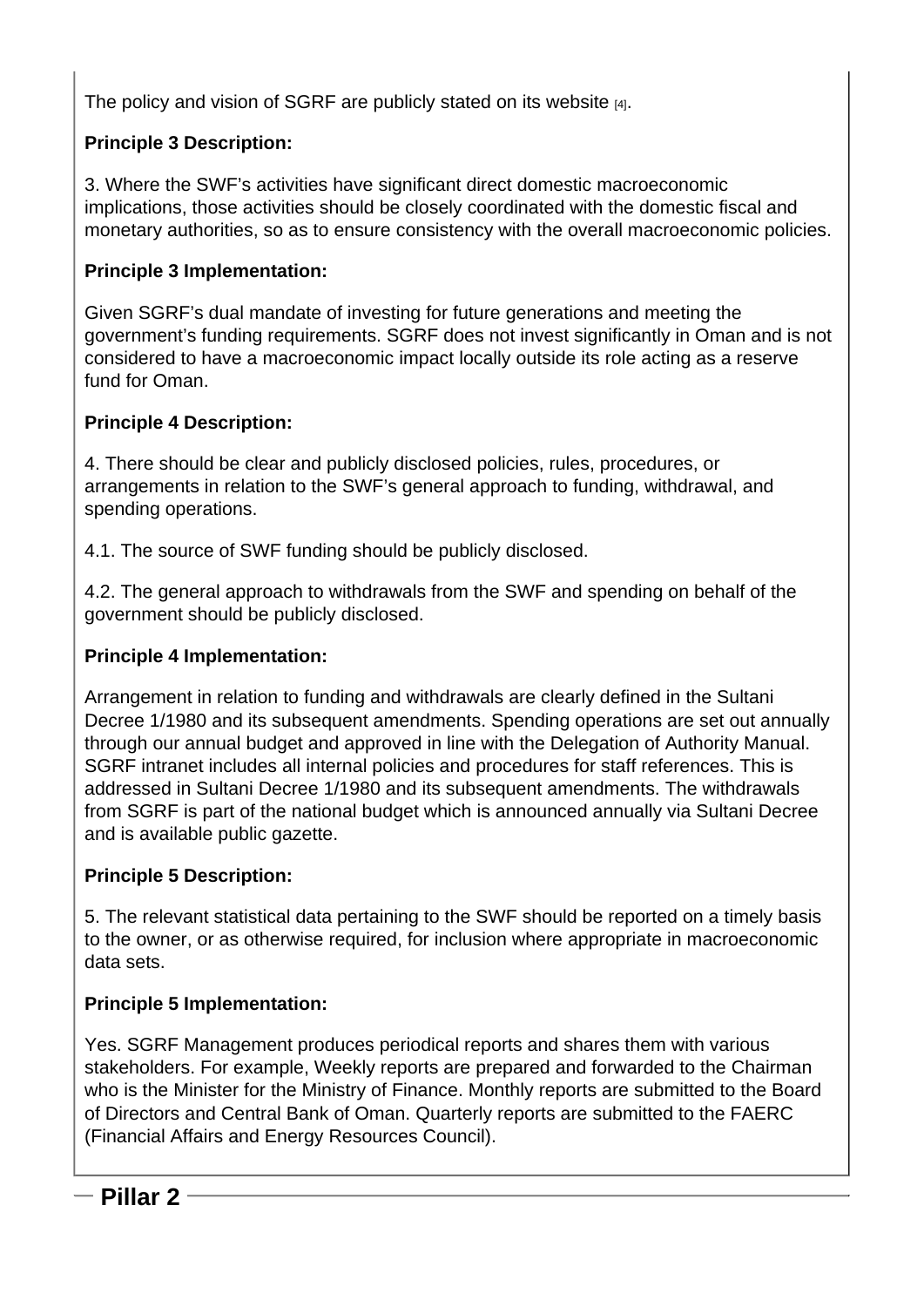The policy and vision of SGRF are publicly stated on its website [4].

Principle 3 Description:

3. Where the SWF's activities have significant direct do[mestic m](https://www.sgrf.gov.om/index.php?r=en/site%2 Fabout)acroeconomic implications, those activities should be closely coordinated with the domestic fiscal and monetary authorities, so as to ensure consistency with the overall macroeconomic policies.

Principle 3 Implementation:

Given SGRF's dual mandate of investing for future generations and meeting the government's funding requirements. SGRF does not invest significantly in Oman and is not considered to have a macroeconomic impact locally outside its role acting as a reserve fund for Oman.

Principle 4 Description:

4. There should be clear and publicly disclosed policies, rules, procedures, or arrangements in relation to the SWF's general approach to funding, withdrawal, and spending operations.

4.1. The source of SWF funding should be publicly disclosed.

4.2. The general approach to withdrawals from the SWF and spending on behalf of the government should be publicly disclosed.

Principle 4 Implementation:

Arrangement in relation to funding and withdrawals are clearly defined in the Sultani Decree 1/1980 and its subsequent amendments. Spending operations are set out annually through our annual budget and approved in line with the Delegation of Authority Manual. SGRF intranet includes all internal policies and procedures for staff references. This is addressed in Sultani Decree 1/1980 and its subsequent amendments. The withdrawals from SGRF is part of the national budget which is announced annually via Sultani Decree and is available public gazette.

Principle 5 Description:

5. The relevant statistical data pertaining to the SWF should be reported on a timely basis to the owner, or as otherwise required, for inclusion where appropriate in macroeconomic data sets.

Principle 5 Implementation:

Yes. SGRF Management produces periodical reports and shares them with various stakeholders. For example, Weekly reports are prepared and forwarded to the Chairman who is the Minister for the Ministry of Finance. Monthly reports are submitted to the Board of Directors and Central Bank of Oman. Quarterly reports are submitted to the FAERC (Financial Affairs and Energy Resources Council).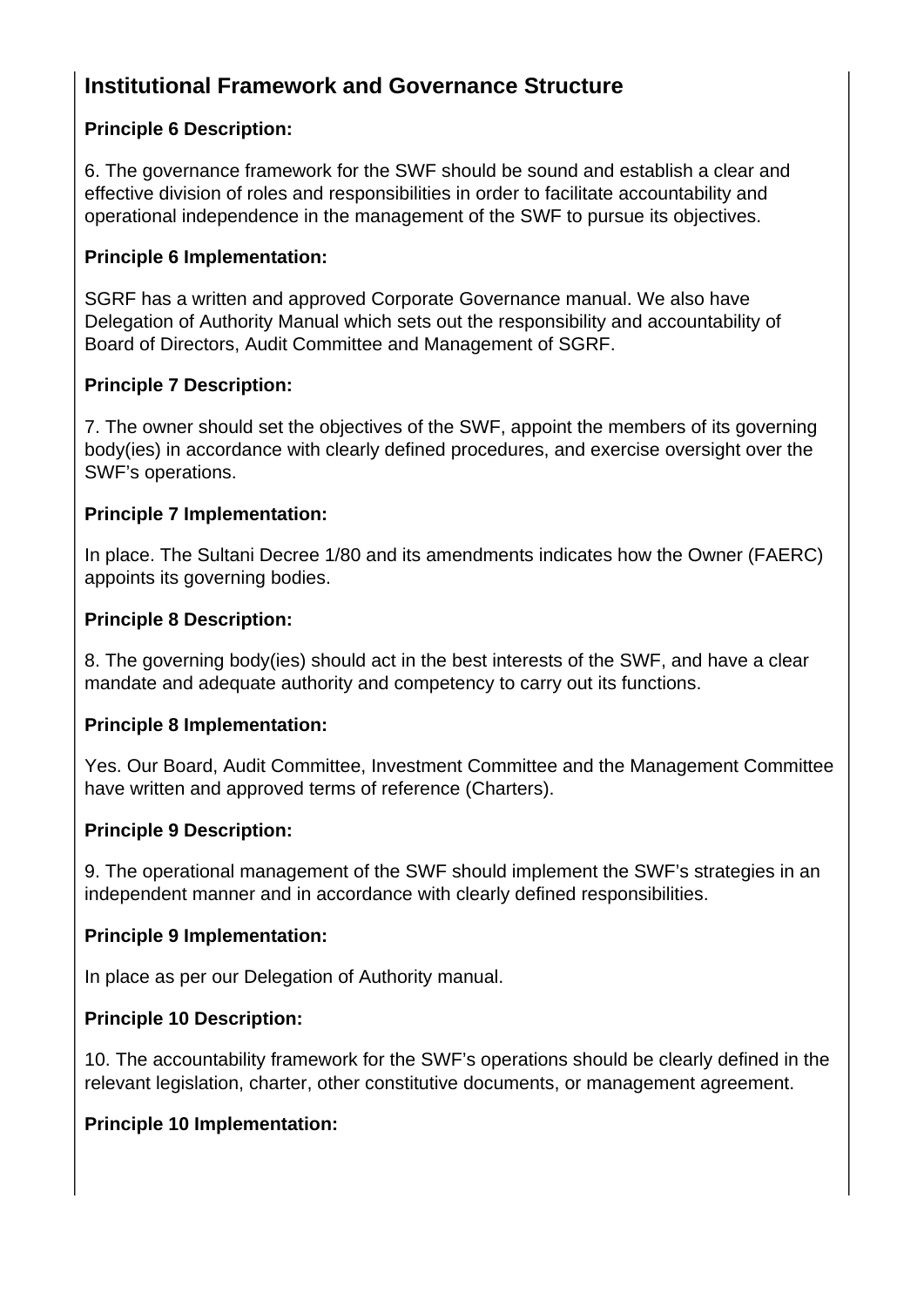## **Institutional Framework and Governance Structure**

## **Principle 6 Description:**

6. The governance framework for the SWF should be sound and establish a clear and effective division of roles and responsibilities in order to facilitate accountability and operational independence in the management of the SWF to pursue its objectives.

#### **Principle 6 Implementation:**

SGRF has a written and approved Corporate Governance manual. We also have Delegation of Authority Manual which sets out the responsibility and accountability of Board of Directors, Audit Committee and Management of SGRF.

## **Principle 7 Description:**

7. The owner should set the objectives of the SWF, appoint the members of its governing body(ies) in accordance with clearly defined procedures, and exercise oversight over the SWF's operations.

## **Principle 7 Implementation:**

In place. The Sultani Decree 1/80 and its amendments indicates how the Owner (FAERC) appoints its governing bodies.

## **Principle 8 Description:**

8. The governing body(ies) should act in the best interests of the SWF, and have a clear mandate and adequate authority and competency to carry out its functions.

#### **Principle 8 Implementation:**

Yes. Our Board, Audit Committee, Investment Committee and the Management Committee have written and approved terms of reference (Charters).

#### **Principle 9 Description:**

9. The operational management of the SWF should implement the SWF's strategies in an independent manner and in accordance with clearly defined responsibilities.

#### **Principle 9 Implementation:**

In place as per our Delegation of Authority manual.

## **Principle 10 Description:**

10. The accountability framework for the SWF's operations should be clearly defined in the relevant legislation, charter, other constitutive documents, or management agreement.

#### **Principle 10 Implementation:**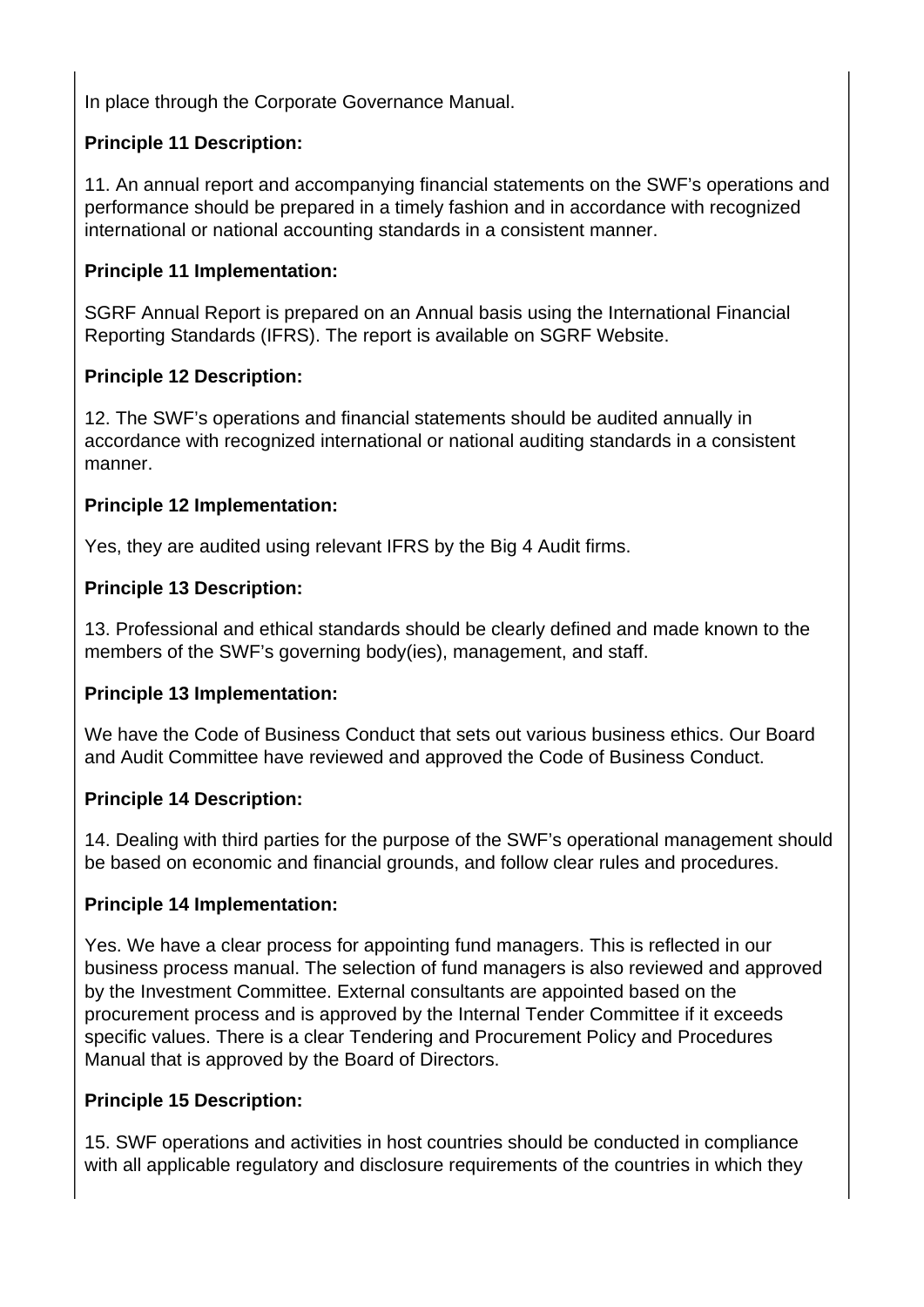In place through the Corporate Governance Manual.

## **Principle 11 Description:**

11. An annual report and accompanying financial statements on the SWF's operations and performance should be prepared in a timely fashion and in accordance with recognized international or national accounting standards in a consistent manner.

## **Principle 11 Implementation:**

SGRF Annual Report is prepared on an Annual basis using the International Financial Reporting Standards (IFRS). The report is available on SGRF Website.

## **Principle 12 Description:**

12. The SWF's operations and financial statements should be audited annually in accordance with recognized international or national auditing standards in a consistent manner.

## **Principle 12 Implementation:**

Yes, they are audited using relevant IFRS by the Big 4 Audit firms.

## **Principle 13 Description:**

13. Professional and ethical standards should be clearly defined and made known to the members of the SWF's governing body(ies), management, and staff.

#### **Principle 13 Implementation:**

We have the Code of Business Conduct that sets out various business ethics. Our Board and Audit Committee have reviewed and approved the Code of Business Conduct.

#### **Principle 14 Description:**

14. Dealing with third parties for the purpose of the SWF's operational management should be based on economic and financial grounds, and follow clear rules and procedures.

#### **Principle 14 Implementation:**

Yes. We have a clear process for appointing fund managers. This is reflected in our business process manual. The selection of fund managers is also reviewed and approved by the Investment Committee. External consultants are appointed based on the procurement process and is approved by the Internal Tender Committee if it exceeds specific values. There is a clear Tendering and Procurement Policy and Procedures Manual that is approved by the Board of Directors.

#### **Principle 15 Description:**

15. SWF operations and activities in host countries should be conducted in compliance with all applicable regulatory and disclosure requirements of the countries in which they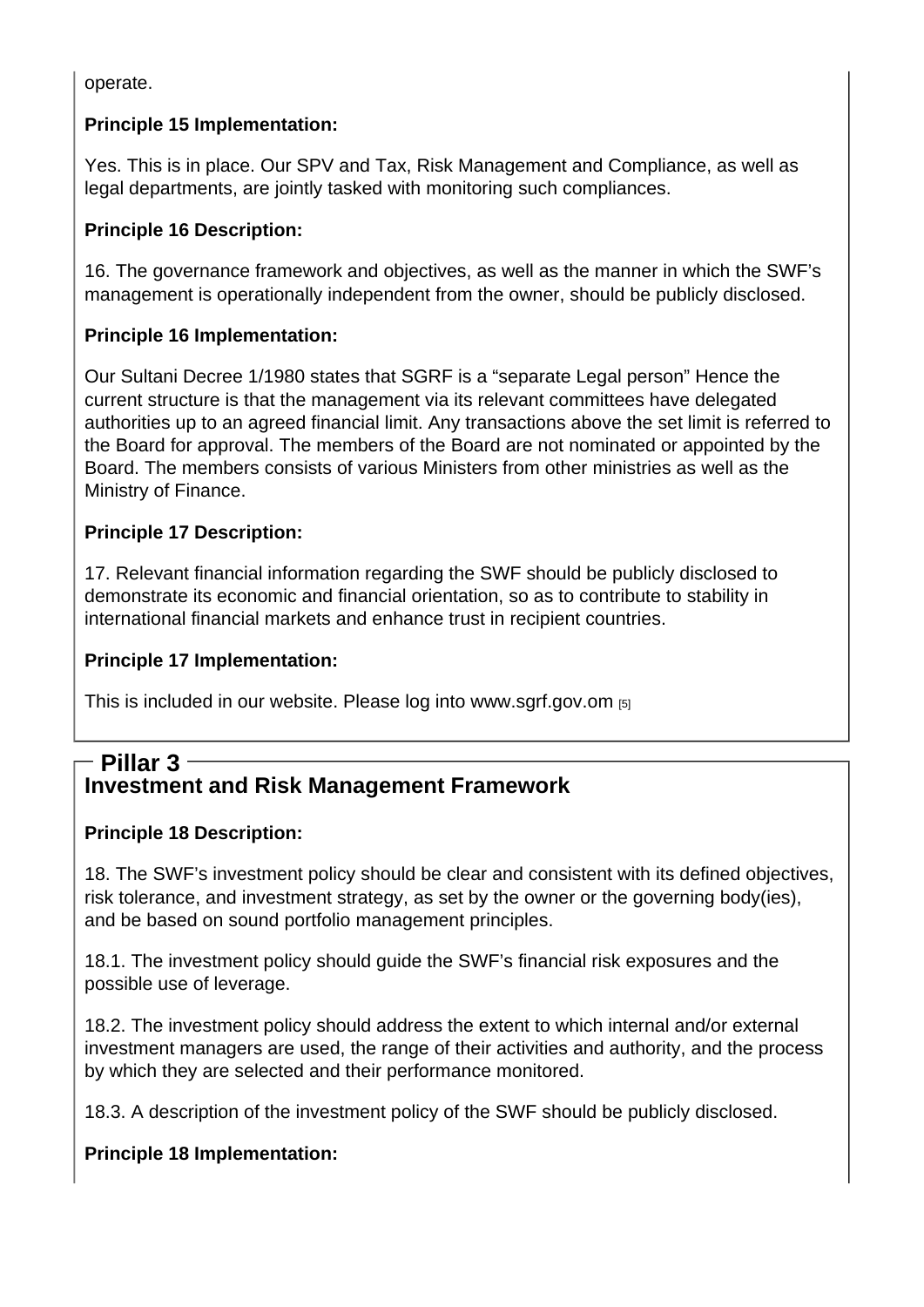operate.

Principle 15 Implementation:

Yes. This is in place. Our SPV and Tax, Risk Management and Compliance, as well as legal departments, are jointly tasked with monitoring such compliances.

Principle 16 Description:

16. The governance framework and objectives, as well as the manner in which the SWF's management is operationally independent from the owner, should be publicly disclosed.

Principle 16 Implementation:

Our Sultani Decree 1/1980 states that SGRF is a "separate Legal person" Hence the current structure is that the management via its relevant committees have delegated authorities up to an agreed financial limit. Any transactions above the set limit is referred to the Board for approval. The members of the Board are not nominated or appointed by the Board. The members consists of various Ministers from other ministries as well as the Ministry of Finance.

Principle 17 Description:

17. Relevant financial information regarding the SWF should be publicly disclosed to demonstrate its economic and financial orientation, so as to contribute to stability in international financial markets and enhance trust in recipient countries.

Principle 17 Implementation:

This is included in our website. Please log into www.sgrf.gov.om [5]

## Investment and Risk Management Fra[mework](http://www.sgrf.gov.om) Pillar 3

Principle 18 Description:

18. The SWF's investment policy should be clear and consistent with its defined objectives, risk tolerance, and investment strategy, as set by the owner or the governing body(ies), and be based on sound portfolio management principles.

18.1. The investment policy should guide the SWF's financial risk exposures and the possible use of leverage.

18.2. The investment policy should address the extent to which internal and/or external investment managers are used, the range of their activities and authority, and the process by which they are selected and their performance monitored.

18.3. A description of the investment policy of the SWF should be publicly disclosed.

Principle 18 Implementation: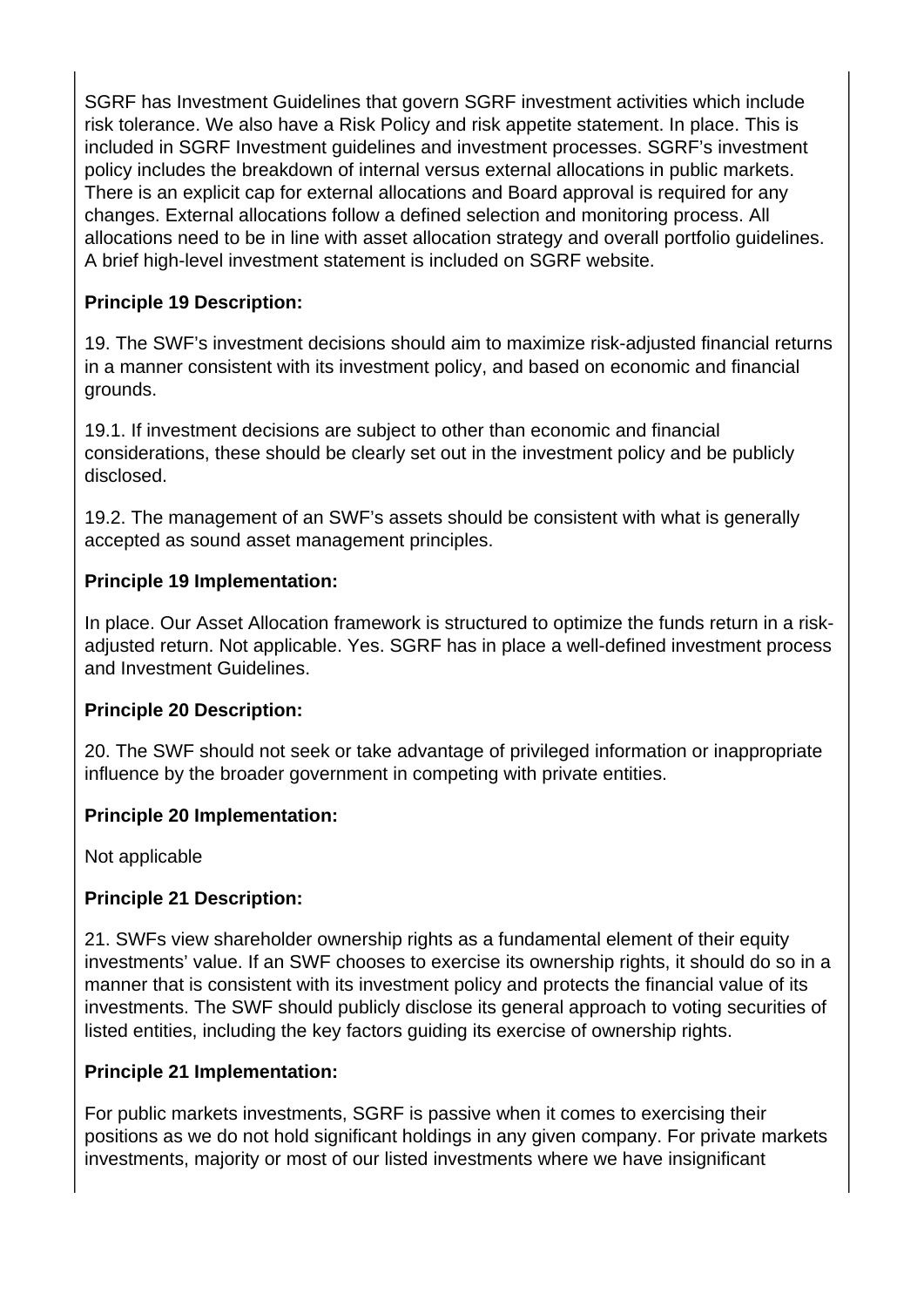SGRF has Investment Guidelines that govern SGRF investment activities which include risk tolerance. We also have a Risk Policy and risk appetite statement. In place. This is included in SGRF Investment guidelines and investment processes. SGRF's investment policy includes the breakdown of internal versus external allocations in public markets. There is an explicit cap for external allocations and Board approval is required for any changes. External allocations follow a defined selection and monitoring process. All allocations need to be in line with asset allocation strategy and overall portfolio guidelines. A brief high-level investment statement is included on SGRF website.

## **Principle 19 Description:**

19. The SWF's investment decisions should aim to maximize risk-adjusted financial returns in a manner consistent with its investment policy, and based on economic and financial grounds.

19.1. If investment decisions are subject to other than economic and financial considerations, these should be clearly set out in the investment policy and be publicly disclosed.

19.2. The management of an SWF's assets should be consistent with what is generally accepted as sound asset management principles.

## **Principle 19 Implementation:**

In place. Our Asset Allocation framework is structured to optimize the funds return in a riskadjusted return. Not applicable. Yes. SGRF has in place a well-defined investment process and Investment Guidelines.

#### **Principle 20 Description:**

20. The SWF should not seek or take advantage of privileged information or inappropriate influence by the broader government in competing with private entities.

## **Principle 20 Implementation:**

Not applicable

## **Principle 21 Description:**

21. SWFs view shareholder ownership rights as a fundamental element of their equity investments' value. If an SWF chooses to exercise its ownership rights, it should do so in a manner that is consistent with its investment policy and protects the financial value of its investments. The SWF should publicly disclose its general approach to voting securities of listed entities, including the key factors guiding its exercise of ownership rights.

## **Principle 21 Implementation:**

For public markets investments, SGRF is passive when it comes to exercising their positions as we do not hold significant holdings in any given company. For private markets investments, majority or most of our listed investments where we have insignificant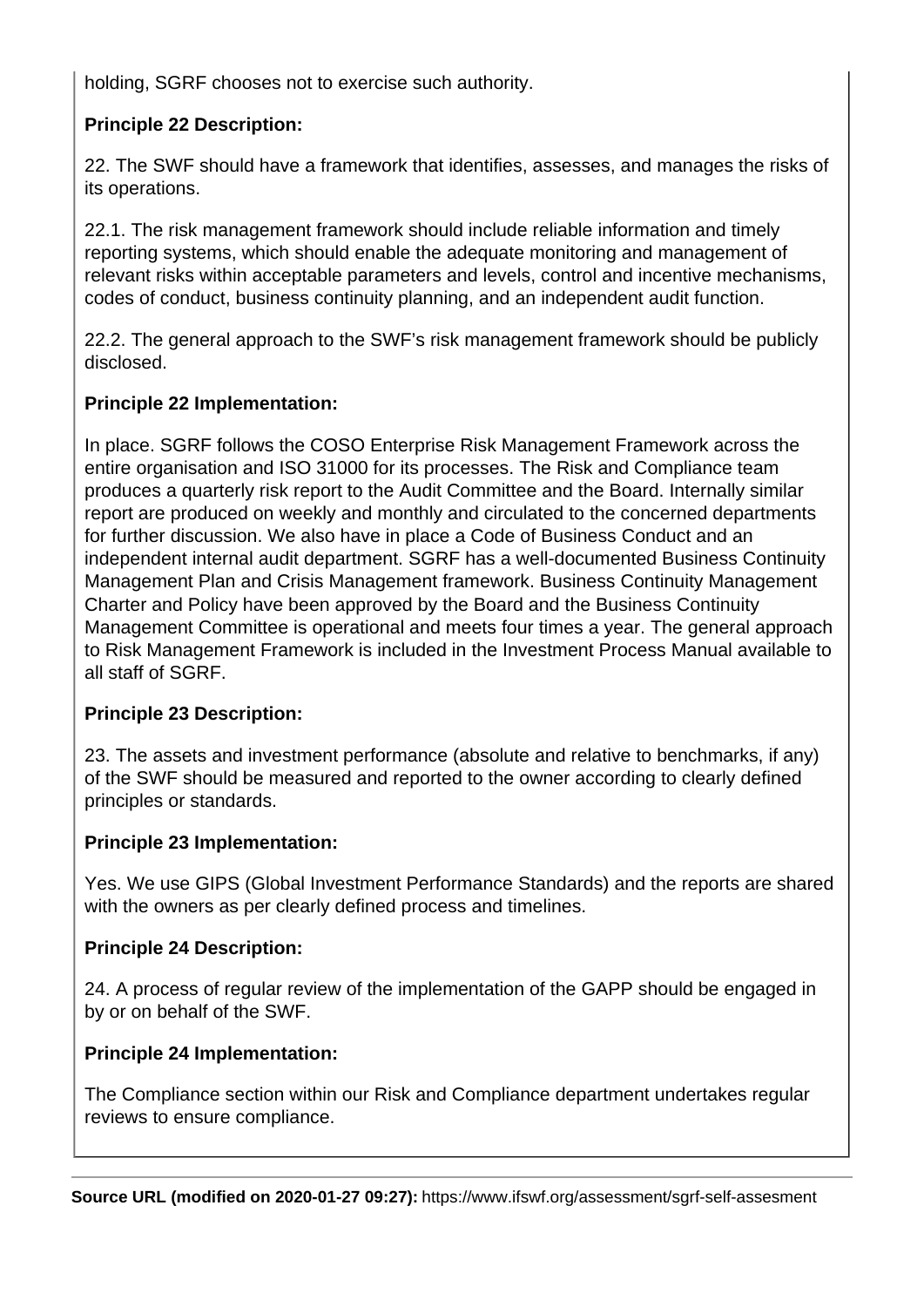holding, SGRF chooses not to exercise such authority.

## **Principle 22 Description:**

22. The SWF should have a framework that identifies, assesses, and manages the risks of its operations.

22.1. The risk management framework should include reliable information and timely reporting systems, which should enable the adequate monitoring and management of relevant risks within acceptable parameters and levels, control and incentive mechanisms, codes of conduct, business continuity planning, and an independent audit function.

22.2. The general approach to the SWF's risk management framework should be publicly disclosed.

## **Principle 22 Implementation:**

In place. SGRF follows the COSO Enterprise Risk Management Framework across the entire organisation and ISO 31000 for its processes. The Risk and Compliance team produces a quarterly risk report to the Audit Committee and the Board. Internally similar report are produced on weekly and monthly and circulated to the concerned departments for further discussion. We also have in place a Code of Business Conduct and an independent internal audit department. SGRF has a well-documented Business Continuity Management Plan and Crisis Management framework. Business Continuity Management Charter and Policy have been approved by the Board and the Business Continuity Management Committee is operational and meets four times a year. The general approach to Risk Management Framework is included in the Investment Process Manual available to all staff of SGRF.

## **Principle 23 Description:**

23. The assets and investment performance (absolute and relative to benchmarks, if any) of the SWF should be measured and reported to the owner according to clearly defined principles or standards.

## **Principle 23 Implementation:**

Yes. We use GIPS (Global Investment Performance Standards) and the reports are shared with the owners as per clearly defined process and timelines.

#### **Principle 24 Description:**

24. A process of regular review of the implementation of the GAPP should be engaged in by or on behalf of the SWF.

## **Principle 24 Implementation:**

The Compliance section within our Risk and Compliance department undertakes regular reviews to ensure compliance.

**Source URL (modified on 2020-01-27 09:27):** https://www.ifswf.org/assessment/sgrf-self-assesment